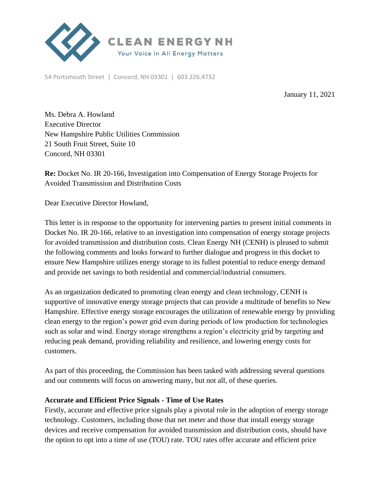

54 Portsmouth Street | Concord, NH 03301 | 603.226.4732

January 11, 2021

Ms. Debra A. Howland Executive Director New Hampshire Public Utilities Commission 21 South Fruit Street, Suite 10 Concord, NH 03301

**Re:** Docket No. IR 20-166, Investigation into Compensation of Energy Storage Projects for Avoided Transmission and Distribution Costs

Dear Executive Director Howland,

This letter is in response to the opportunity for intervening parties to present initial comments in Docket No. IR 20-166, relative to an investigation into compensation of energy storage projects for avoided transmission and distribution costs. Clean Energy NH (CENH) is pleased to submit the following comments and looks forward to further dialogue and progress in this docket to ensure New Hampshire utilizes energy storage to its fullest potential to reduce energy demand and provide net savings to both residential and commercial/industrial consumers.

As an organization dedicated to promoting clean energy and clean technology, CENH is supportive of innovative energy storage projects that can provide a multitude of benefits to New Hampshire. Effective energy storage encourages the utilization of renewable energy by providing clean energy to the region's power grid even during periods of low production for technologies such as solar and wind. Energy storage strengthens a region's electricity grid by targeting and reducing peak demand, providing reliability and resilience, and lowering energy costs for customers.

As part of this proceeding, the Commission has been tasked with addressing several questions and our comments will focus on answering many, but not all, of these queries.

#### **Accurate and Efficient Price Signals - Time of Use Rates**

Firstly, accurate and effective price signals play a pivotal role in the adoption of energy storage technology. Customers, including those that net meter and those that install energy storage devices and receive compensation for avoided transmission and distribution costs, should have the option to opt into a time of use (TOU) rate. TOU rates offer accurate and efficient price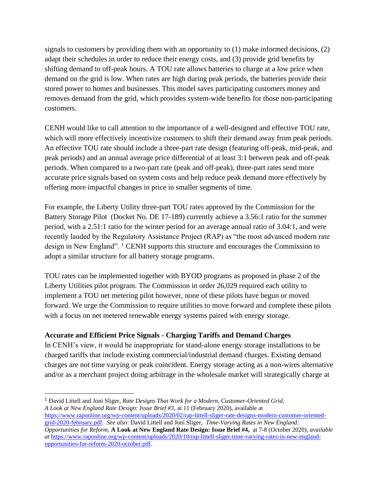signals to customers by providing them with an opportunity to  $(1)$  make informed decisions,  $(2)$ adapt their schedules in order to reduce their energy costs, and (3) provide grid benefits by shifting demand to off-peak hours. A TOU rate allows batteries to charge at a low price when demand on the grid is low. When rates are high during peak periods, the batteries provide their stored power to homes and businesses. This model saves participating customers money and removes demand from the grid, which provides system-wide benefits for those non-participating customers.

CENH would like to call attention to the importance of a well-designed and effective TOU rate, which will more effectively incentivize customers to shift their demand away from peak periods. An effective TOU rate should include a three-part rate design (featuring off-peak, mid-peak, and peak periods) and an annual average price differential of at least 3:1 between peak and off-peak periods. When compared to a two-part rate (peak and off-peak), three-part rates send more accurate price signals based on system costs and help reduce peak demand more effectively by offering more impactful changes in price in smaller segments of time.

For example, the Liberty Utility three-part TOU rates approved by the Commission for the Battery Storage Pilot (Docket No. DE 17-189) currently achieve a 3.56:1 ratio for the summer period, with a 2.51:1 ratio for the winter period for an average annual ratio of 3.04:1, and were recently lauded by the Regulatory Assistance Project (RAP) as "the most advanced modern rate design in New England". <sup>1</sup> CENH supports this structure and encourages the Commission to adopt a similar structure for all battery storage programs.

TOU rates can be implemented together with BYOD programs as proposed in phase 2 of the Liberty Utilities pilot program. The Commission in order 26,029 required each utility to implement a TOU net metering pilot however, none of these pilots have begun or moved forward. We urge the Commission to require utilities to move forward and complete these pilots with a focus on net metered renewable energy systems paired with energy storage.

# **Accurate and Efficient Price Signals - Charging Tariffs and Demand Charges**

In CENH's view, it would be inappropriate for stand-alone energy storage installations to be charged tariffs that include existing commercial/industrial demand charges. Existing demand charges are not time varying or peak coincident. Energy storage acting as a non-wires alternative and/or as a merchant project doing arbitrage in the wholesale market will strategically charge at

<sup>1</sup> David Littell and Joni Sliger, *Rate Designs That Work for a Modern, Customer-Oriented Grid, A Look at New England Rate Design: Issue Brief #3*, at 11 (February 2020), available at

[https://www.raponline.org/wp-content/uploads/2020/02/rap-littell-sliger-rate-designs-modern-customer-oriented](https://www.raponline.org/wp-content/uploads/2020/02/rap-littell-sliger-rate-designs-modern-customer-oriented-grid-2020-february.pdf)[grid-2020-february.pdf.](https://www.raponline.org/wp-content/uploads/2020/02/rap-littell-sliger-rate-designs-modern-customer-oriented-grid-2020-february.pdf) *See also*: David Littell and Joni Sliger, *Time-Varying Rates in New England: Opportunities for Reform,* **A Look at New England Rate Design: Issue Brief #4,** at 7-8 (October 2020), *available at* [https://www.raponline.org/wp-content/uploads/2020/10/rap-littell-sliger-time-varying-rates-in-new-england](https://www.raponline.org/wp-content/uploads/2020/10/rap-littell-sliger-time-varying-rates-in-new-england-opportunities-for-reform-2020-october.pdf)[opportunities-for-reform-2020-october.pdf.](https://www.raponline.org/wp-content/uploads/2020/10/rap-littell-sliger-time-varying-rates-in-new-england-opportunities-for-reform-2020-october.pdf)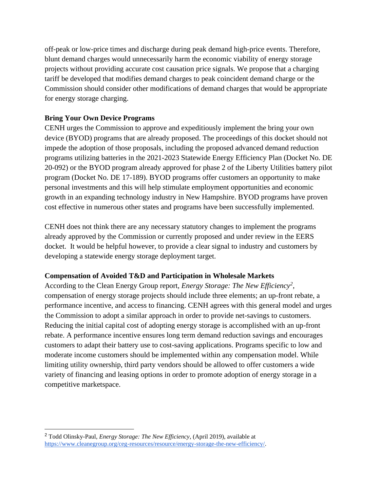off-peak or low-price times and discharge during peak demand high-price events. Therefore, blunt demand charges would unnecessarily harm the economic viability of energy storage projects without providing accurate cost causation price signals. We propose that a charging tariff be developed that modifies demand charges to peak coincident demand charge or the Commission should consider other modifications of demand charges that would be appropriate for energy storage charging.

# **Bring Your Own Device Programs**

CENH urges the Commission to approve and expeditiously implement the bring your own device (BYOD) programs that are already proposed. The proceedings of this docket should not impede the adoption of those proposals, including the proposed advanced demand reduction programs utilizing batteries in the 2021-2023 Statewide Energy Efficiency Plan (Docket No. DE 20-092) or the BYOD program already approved for phase 2 of the Liberty Utilities battery pilot program (Docket No. DE 17-189). BYOD programs offer customers an opportunity to make personal investments and this will help stimulate employment opportunities and economic growth in an expanding technology industry in New Hampshire. BYOD programs have proven cost effective in numerous other states and programs have been successfully implemented.

CENH does not think there are any necessary statutory changes to implement the programs already approved by the Commission or currently proposed and under review in the EERS docket. It would be helpful however, to provide a clear signal to industry and customers by developing a statewide energy storage deployment target.

# **Compensation of Avoided T&D and Participation in Wholesale Markets**

According to the Clean Energy Group report, *Energy Storage: The New Efficiency<sup>2</sup>* , compensation of energy storage projects should include three elements; an up-front rebate, a performance incentive, and access to financing. CENH agrees with this general model and urges the Commission to adopt a similar approach in order to provide net-savings to customers. Reducing the initial capital cost of adopting energy storage is accomplished with an up-front rebate. A performance incentive ensures long term demand reduction savings and encourages customers to adapt their battery use to cost-saving applications. Programs specific to low and moderate income customers should be implemented within any compensation model. While limiting utility ownership, third party vendors should be allowed to offer customers a wide variety of financing and leasing options in order to promote adoption of energy storage in a competitive marketspace.

<sup>2</sup> Todd Olinsky-Paul, *Energy Storage: The New Efficiency*, (April 2019), available at [https://www.cleanegroup.org/ceg-resources/resource/energy-storage-the-new-efficiency/.](https://www.cleanegroup.org/ceg-resources/resource/energy-storage-the-new-efficiency/)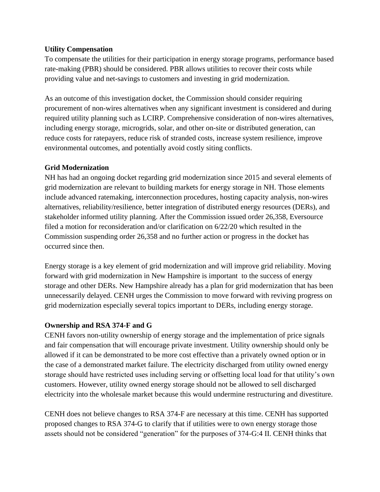### **Utility Compensation**

To compensate the utilities for their participation in energy storage programs, performance based rate-making (PBR) should be considered. PBR allows utilities to recover their costs while providing value and net-savings to customers and investing in grid modernization.

As an outcome of this investigation docket, the Commission should consider requiring procurement of non-wires alternatives when any significant investment is considered and during required utility planning such as LCIRP. Comprehensive consideration of non-wires alternatives, including energy storage, microgrids, solar, and other on-site or distributed generation, can reduce costs for ratepayers, reduce risk of stranded costs, increase system resilience, improve environmental outcomes, and potentially avoid costly siting conflicts.

# **Grid Modernization**

NH has had an ongoing docket regarding grid modernization since 2015 and several elements of grid modernization are relevant to building markets for energy storage in NH. Those elements include advanced ratemaking, interconnection procedures, hosting capacity analysis, non-wires alternatives, reliability/resilience, better integration of distributed energy resources (DERs), and stakeholder informed utility planning. After the Commission issued order 26,358, Eversource filed a motion for reconsideration and/or clarification on 6/22/20 which resulted in the Commission suspending order 26,358 and no further action or progress in the docket has occurred since then.

Energy storage is a key element of grid modernization and will improve grid reliability. Moving forward with grid modernization in New Hampshire is important to the success of energy storage and other DERs. New Hampshire already has a plan for grid modernization that has been unnecessarily delayed. CENH urges the Commission to move forward with reviving progress on grid modernization especially several topics important to DERs, including energy storage.

# **Ownership and RSA 374-F and G**

CENH favors non-utility ownership of energy storage and the implementation of price signals and fair compensation that will encourage private investment. Utility ownership should only be allowed if it can be demonstrated to be more cost effective than a privately owned option or in the case of a demonstrated market failure. The electricity discharged from utility owned energy storage should have restricted uses including serving or offsetting local load for that utility's own customers. However, utility owned energy storage should not be allowed to sell discharged electricity into the wholesale market because this would undermine restructuring and divestiture.

CENH does not believe changes to RSA 374-F are necessary at this time. CENH has supported proposed changes to RSA 374-G to clarify that if utilities were to own energy storage those assets should not be considered "generation" for the purposes of 374-G:4 II. CENH thinks that